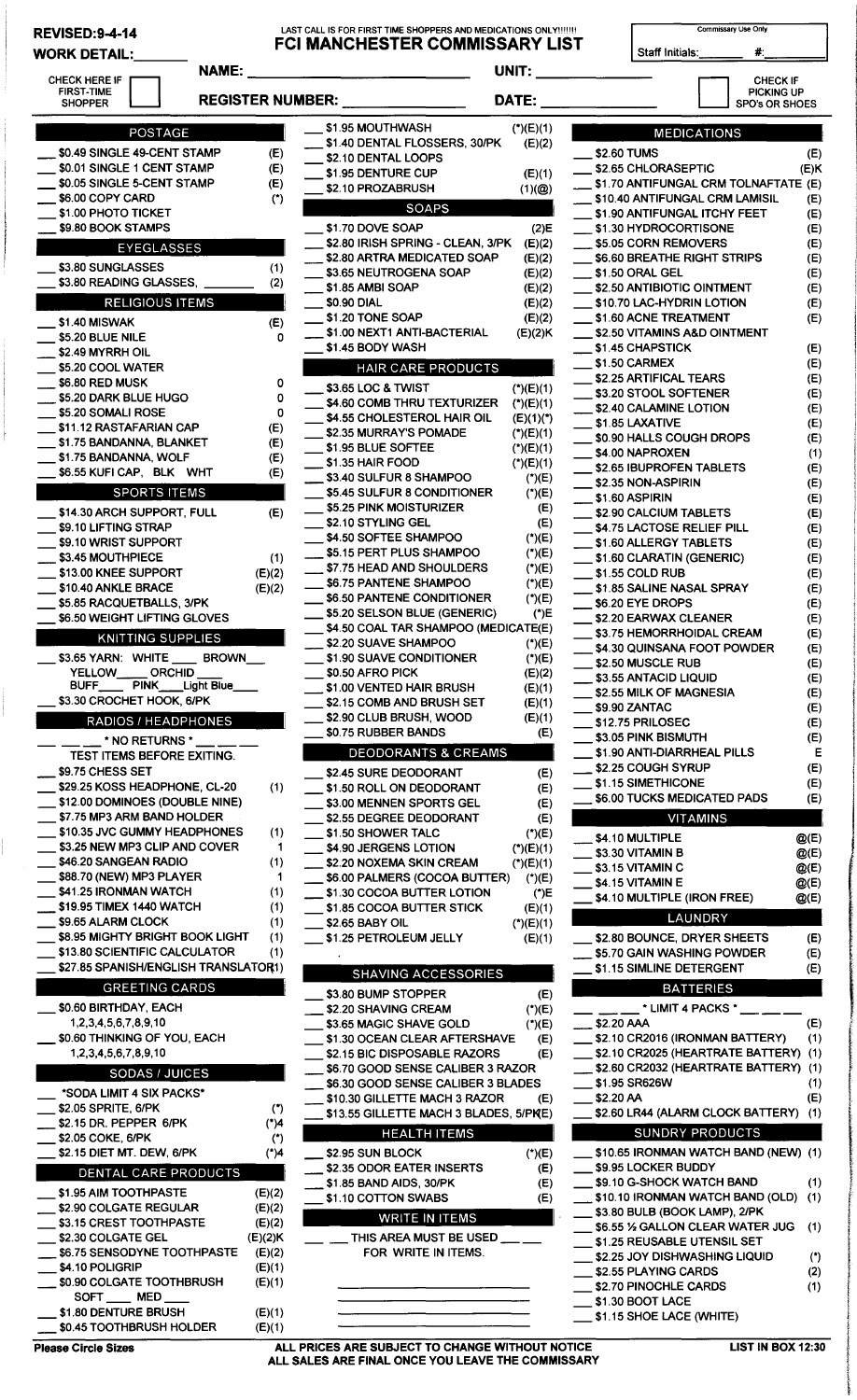## REVISED:9-4-14 LAST CALL IS FOR FIRST TIME SHOPPERS AND MEDICATIONS ONLY!!!!'!! Commissary Use Only WORK DETAIL: \_\_ \_ FCI MANCHESTER COMMISSARY LIST Staff Initials: #: UKK DE I AIL:<br>CHECK HERE IF **DE IF DE LANGE IF DE LANGE IF DE LANGE IF DE LANGE IF DE LANGE I** NAME: \_\_\_\_\_\_\_\_\_\_\_\_\_\_ \_ UNIT:------ D CHECKIF PICKING UP<br>SPO's OR SHOES ECK HERE IF THE CHECK IF THE CHECK IF THE CHECK IF THE CHECK IF THE CHECK IF THE CHECK IF THE CHECK IF THE CHECK IF<br>FIRST-TIME THE PICKING UP THE PICKING UP THE PICKING UP THE PICKING UP THE CHECK IF THE CHECK IF THE CHECK POSTAGE \_\_ \$0.49 SINGLE 49-CENT STAMP (E) \_ \$0.01 SINGLE 1 CENT STAMP (E) \_\_ \$0.05 SINGLE 5-CENT STAMP (E) \_\_ \$6.00 COPY CARD (\*) \$1.00 PHOTO TICKET \$9.80 BOOK STAMPS EYEGLASSES \$3.80 SUNGLASSES (1) \$3.80 READING GLASSES, (2) RELIGIOUS ITEMS \$1.40 MISWAK (E) \$5.20 BLUE NILE 0 \$2.49 MYRRH OIL \$5.20 COOL WATER \$6.80 RED MUSK 0<br>\$5.20 DARK BLUE HUGO 0 \_\_ \$5.20 DARK BLUE HUGO 0 \$5.20 SOMALI ROSE \$11.12 RASTAFARIAN CAP (E) \$1.75 BANDANNA, BLANKET (E)<br>\$1.75 BANDANNA, WOLF (E) \$1.75 BANDANNA, WOLF (E)<br>\$6.55 KUFI CAP, BLK WHT (E) \$6.55 KUFI CAP, BLK WHT **SPORTS ITEMS** \_\_ \$14.30 ARCH SUPPORT, FULL (E) \$9.10 LIFTING STRAP \$9.10 WRIST SUPPORT \_\_ \$3.45 MOUTHPIECE (1) \_\_ \$13.00 KNEE SUPPORT (E)(2) \$10.40 ANKLE BRACE (E)(2) \_\_ \$5.85 RACQUETBALLS, 3/PK \$6.50 WEIGHT LIFTING GLOVES KNITTING SUPPLIES \$3.65 YARN: WHITE \_\_\_ BROWN\_<br>YELLOW\_\_\_\_\_ ORCHID \_\_\_ YELLOW\_\_\_\_OR<br>BUFF\_\_\_\_PINK\_  $\_$  Light Blue \_\_ \$3.30 CROCHET HOOK, 6/PK RADIOS / HEADPHONES<br>\_\_ \_\_ \_\_ \* NO RETURNS \* \_\_ \_\_ \_ TEST ITEMS BEFORE EXITING. \$9.75 CHESS SET \_\_ \$29.25 KOSS HEADPHONE, CL-20 (1) \_ \$12.00 DOMINOES (DOUBLE NINE) \_ \$7.75 MP3 ARM BAND HOLDER \$10.35 JVC GUMMY HEADPHONES (1) \$3.25 NEW MP3 CLIP AND COVER 1 \$46.20 SANGEAN RADIO (1) \$88.70 (NEW) MP3 PLAYER \$41.25 IRONMAN WATCH (1) \_\$19.95TIMEX 1440WATCH (1) \_ \$9.65 ALARM CLOCK (1) \$8.95 MIGHTY BRIGHT BOOK LIGHT (1) \$13.80 SCIENTIFIC CALCULATOR (1) \$27.85 SPANISH/ENGLISH TRANSLATOR1) GREETING CARDS \_ \$0.60 BIRTHDAY, EACH 1 ,2,3,4,5,6,7,8,9, 10 \$0.60 THINKING OF YOU, EACH 1,2,3,4,5,6,7,8,9,10 SODAS / JUICES \*SODA LIMIT 4 SIX PACKS\* \_\_ \$2.05 SPRITE, 6/PK \_ \$2.15 DR. PEPPER 6/PK \_ \$2.05 COKE, 6/PK \_ \$2.15 DIET MT. DEW, 6/PK DENTAL CARE PRODUCTS \_ \$1.95 AIM TOOTHPASTE \_ \$2.90 COLGATE REGULAR \$3.15 CREST TOOTHPASTE \$2.30 COLGATE GEL \$6.75 SENSODYNE TOOTHPASTE \$4.10 POLIGRIP \_ \$0.90 COLGATE TOOTHBRUSH SOFT MED \$1.80 DENTURE BRUSH \$0.45 TOOTHBRUSH HOLDER (\*) (\*)4 (\*) (\*)4 (E)(2) (E)(2)  $(E)(2)$ (E)(2)K (E)(2) (E)(1) (E)(1) (E)(1) (E)(1) \$1.95 MOUTHWASH \_ \$1.40 DENTAL FLOSSERS, 30/PK \$2.10 DENTAL LOOPS \$1.95 DENTURE CUP \$2.10 PROZABRUSH (\*)(E)(1) (E)(2) (E)(1)  $(1)(@)$ SOAPS<br>\$1.70 DOVE SOAP \_ \$2.80 IRISH SPRING - CLEAN, 3/PK \_ \$2.80 ARTRA MEDICATED SOAP \$3.65 NEUTROGENA SOAP \$1.85 AMBI SOAP \_\$0.90DIAL \$1.20 TONE SOAP \_ \$1.00 NEXT1 ANTI-BACTERIAL \$1.45 BODY WASH (2)E (E)(2) (E)(2) (E)(2) (E)(2) (E)(2) (E)(2) (E)(2)K HAIR CARE PRODUCTS<br>\$3.65 LOC & TWIST (\*)(E)(1) \$4.60 COMB THRU TEXTURIZER (\*)(E)(1) \$4.55 CHOLESTEROL HAIR OIL (E)(1)(\*) \$2.35 MURRAY'S POMADE (\*)(E)(1) \$1.95 BLUE SOFTEE (\*)(E)(1) \$1.35 HAIR FOOD (\*)(E)(1)  $$3.40$  SULFUR 8 SHAMPOO (\*)(E) \$5.45 SULFUR 8 CONDITIONER (\*)(E) \_ \$5.25 PINK MOISTURIZER (E) \$2.10 STYLING GEL (E) \$4.50 SOFTEE SHAMPOO (\*)(E) \_ \$5.15 PERT PLUS SHAMPOO (\*)(E) \_ \$7.75 HEAD AND SHOULDERS (\*)(E) \_ \$6.75 PANTENE SHAMPOO (\*)(E) \_ \$6.50 PANTENE CONDITIONER (\*)(E) \_ \$5.20 SELSON BLUE (GENERIC) (\*)E \$4.50 COAL TAR SHAMPOO (MEDICATE(E) \_ \$2.20 SUAVE SHAMPOO (\*)(E) \$1.90 SUAVE CONDITIONER (\*)(E) \$0.50 AFRO PICK (E)(2)  $$1.00$  VENTED HAIR BRUSH  $(E)(1)$ \$2.15 COMB AND BRUSH SET (E)(1)  $$2.90$  CLUB BRUSH, WOOD  $(E)(1)$ \_ \$0.75 RUBBER BANDS (E) DEODORANTS & CREAMS \_ \$2.45 SURE DEODORANT (E) \_ \$1.50 ROLL ON DEODORANT (E) \$3.00 MENNEN SPORTS GEL (E) \$2.55 DEGREE DEODORANT (E) \$1.50 SHOWER TALC (\*)(E)  $$4.90$  JERGENS LOTION  $(*)$ (E)(1) \_ \$2.20 NOXEMA SKIN CREAM (\*)(E)(1) \$6.00 PALMERS (COCOA BUTTER) (\*)(E) \$1.30 COCOA BUTTER LOTION (\*)E \$1.85 COCOA BUTTER STICK (E)(1)  $$2.65$  BABY OIL  $(*)$ (E)(1) \_ \$1.25 PETROLEUM JELLY (E)(1) SHAVING ACCESSORIES \$3.80 BUMP STOPPER (E) \_ \$2.20 SHAVING CREAM (\*)(E) \$3.65 MAGIC SHAVE GOLD (\*)(E) \$1.30 OCEAN CLEAR AFTERSHAVE (E) \$2.15 BIC DISPOSABLE RAZORS (E) \$6.70 GOOD SENSE CALIBER 3 RAZOR \$6.30 GOOD SENSE CALIBER 3 BLADES \$10.30 GILLETTE MACH 3 RAZOR (E) \$13.55 GILLETTE MACH 3 BLADES, 5/PKE) **HEALTH ITEMS** \_ \$2.95 SUN BLOCK (\*)(E) \_ \$2.35 ODOR EATER INSERTS (E) \_ \$1.85 BAND AIDS, 30/PK (E) \$1.10 COTTON SWABS (E) WRITE IN ITEMS THIS AREA MUST BE USED FOR WRITE IN ITEMS. **MEDICATIONS** \$2.60 TUMS (E) \_ \$2.65 CHLORASEPTIC (E)K \_ \$1.70 ANTIFUNGAL CRM TOLNAFTATE (E) \$10.40 ANTIFUNGAL CRM LAMISIL (E) \$1.90 ANTIFUNGAL ITCHY FEET (E) \$1.30 HYDROCORTISONE (E) \_ \$5.05 CORN REMOVERS (E) \_ \$6.60 BREATHE RIGHT STRIPS (E) \_ \$1.50 ORAL GEL (E) \_ \$2.50 ANTIBIOTIC OINTMENT (E) \$10.70 LAC-HYDRIN LOTION (E) \$1.60 ACNE TREATMENT (E) \$2.50 VITAMINS A&D OINTMENT \_ \$1.45 CHAPSTICK (E) \$1.50 CARMEX (E) \_ \$2.25 ARTIFICAL TEARS (E) \_\_ \$3.20 STOOL SOFTENER (E) \_ \$2.40 CALAMINE LOTION (E) \$1.85 LAXATIVE (E) \$0.90 HALLS COUGH DROPS (E) \_ \$4.00 NAPROXEN (1) \_ \$2.65 IBUPROFEN TABLETS (E) \_ \$2.35 NON-ASPIRIN (E) \_ \$1.60 ASPIRIN (E) \_ \$2.90 CALCIUM TABLETS (E) \$4.75 LACTOSE RELIEF PILL (E) \_ \$1.60 ALLERGY TABLETS (E) \$1.60 CLARATIN (GENERIC) (E)  $$1.55$  COLD RUB (E) \_ \$1.85 SALINE NASAL SPRAY (E)  $$6.20$  EYE DROPS (E) \$2.20 EARWAX CLEANER (E) \$3.75 HEMORRHOIDAL CREAM (E) \$4.30 QUINSANA FOOT POWDER (E) \$2.50 MUSCLE RUB (E) \_ \$3.55 ANTACID LIQUID (E) \_ \$2.55 MILK OF MAGNESIA (E) \_ \$9.90 ZANTAC (E) \_ \$12.75 PRILOSEC (E) \$3.05 PINK BISMUTH (E) \$1.90 ANTI-DIARRHEAL PILLS E \_ \$2.25 COUGH SYRUP (E) \$1.15 SIMETHICONE (E) \$6.00 TUCKS MEDICATED PADS (E) VITAMINS \_ \$4.10 MULTIPLE @(E)  $$3.30$  VITAMIN B  $@$ (E)  $$3.15$  VITAMIN C  $@(E)$  $$4.15$  VITAMIN E  $@(E)$ \$4.10 MULTIPLE (IRON FREE) @(E) LAUNDRY \$2.80 BOUNCE, DRYER SHEETS (E) \$5.70 GAIN WASHING POWDER (E) \$1.15 SIMLINE DETERGENT (E) BATTERIES \* LIMIT 4 PACKS \*  $$2.20$  AAA (E) \_ \$2.10 CR2016 (IRONMAN BATTERY) (1) \_ \$2.10 CR2025 (HEARTRATE BATTERY) (1) \_ \$2.60 CR2032 (HEARTRATE BATTERY) (1) \_ \$1.95 SR626W (1)  $$2.20 \text{ AA}$  (E) \_ \$2.60 LR44 (ALARM CLOCK BATTERY) (1) SUNDRY PRODUCTS \$10.65 IRONMAN WATCH BAND (NEW) (1) \$9.95 LOCKER BUDDY \_ \$9.10 G-SHOCK WATCH BAND (1) \$10.10 IRONMAN WATCH BAND (OLD) (1) \$3.80 BULB (BOOK LAMP), 2/PK \_ \$6.55 *Y.* GALLON CLEAR WATER JUG (1) \$1.25 REUSABLE UTENSIL SET \_ \$2.25 JOY DISHWASHING LIQUID (\*) \$2.55 PLAYING CARDS (2) \$2.70 PINOCHLE CARDS (1) \$1.30 BOOT LACE \$1.15 SHOE LACE (WHITE)

Please Circle Sizes **ALL PRICES ARE SUBJECT TO CHANGE WITHOUT NOTICE** ALL SALES ARE FINAL ONCE YOU LEAVE THE COMMISSARY